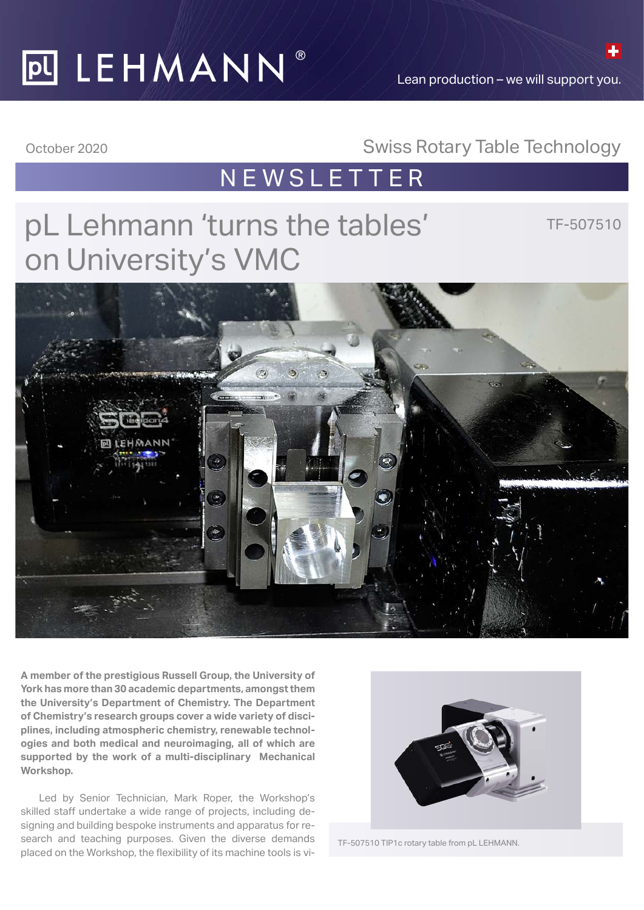# **PULEHMANN®**

Lean production – we will support you.

### October 2020 Swiss Rotary Table Technology

### NEWSLETTER

## pL Lehmann 'turns the tables' on University's VMC

TF-507510



**A member of the prestigious Russell Group, the University of York has more than 30 academic departments, amongst them the University's Department of Chemistry. The Department of Chemistry's research groups cover a wide variety of disciplines, including atmospheric chemistry, renewable technologies and both medical and neuroimaging, all of which are supported by the work of a multi-disciplinary Mechanical Workshop.**

Led by Senior Technician, Mark Roper, the Workshop's skilled staff undertake a wide range of projects, including designing and building bespoke instruments and apparatus for research and teaching purposes. Given the diverse demands placed on the Workshop, the flexibility of its machine tools is vi-



TF-507510 TIP1c rotary table from pL LEHMANN.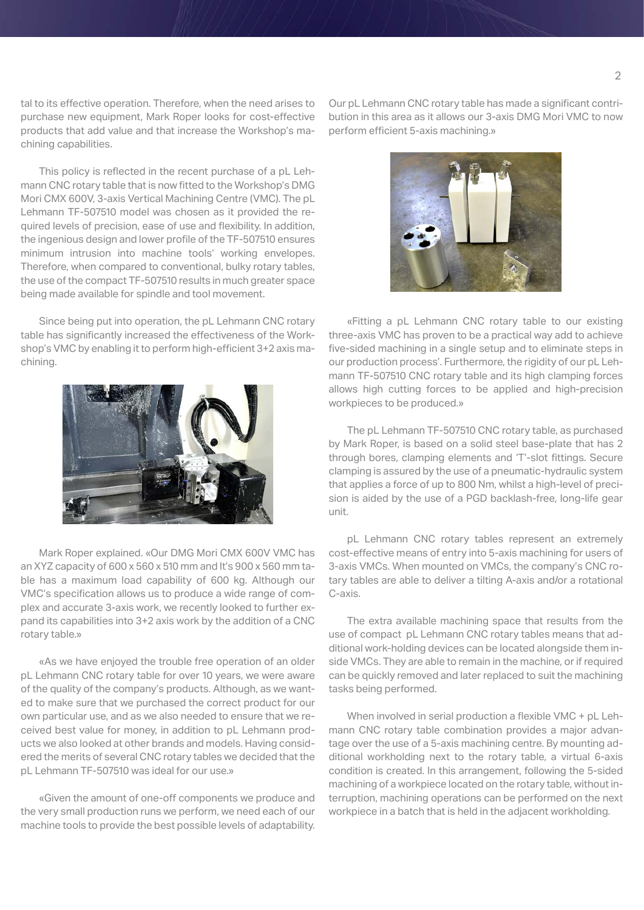tal to its effective operation. Therefore, when the need arises to purchase new equipment, Mark Roper looks for cost-effective products that add value and that increase the Workshop's machining capabilities.

This policy is reflected in the recent purchase of a pL Lehmann CNC rotary table that is now fitted to the Workshop's DMG Mori CMX 600V, 3-axis Vertical Machining Centre (VMC). The pL Lehmann TF-507510 model was chosen as it provided the required levels of precision, ease of use and flexibility. In addition, the ingenious design and lower profile of the TF-507510 ensures minimum intrusion into machine tools' working envelopes. Therefore, when compared to conventional, bulky rotary tables, the use of the compact TF-507510 results in much greater space being made available for spindle and tool movement.

Since being put into operation, the pL Lehmann CNC rotary table has significantly increased the effectiveness of the Workshop's VMC by enabling it to perform high-efficient 3+2 axis machining.



Mark Roper explained. «Our DMG Mori CMX 600V VMC has an XYZ capacity of 600 x 560 x 510 mm and It's 900 x 560 mm table has a maximum load capability of 600 kg. Although our VMC's specification allows us to produce a wide range of complex and accurate 3-axis work, we recently looked to further expand its capabilities into 3+2 axis work by the addition of a CNC rotary table.»

«As we have enjoyed the trouble free operation of an older pL Lehmann CNC rotary table for over 10 years, we were aware of the quality of the company's products. Although, as we wanted to make sure that we purchased the correct product for our own particular use, and as we also needed to ensure that we received best value for money, in addition to pL Lehmann products we also looked at other brands and models. Having considered the merits of several CNC rotary tables we decided that the pL Lehmann TF-507510 was ideal for our use.»

«Given the amount of one-off components we produce and the very small production runs we perform, we need each of our machine tools to provide the best possible levels of adaptability.

Our pL Lehmann CNC rotary table has made a significant contribution in this area as it allows our 3-axis DMG Mori VMC to now perform efficient 5-axis machining.»



«Fitting a pL Lehmann CNC rotary table to our existing three-axis VMC has proven to be a practical way add to achieve five-sided machining in a single setup and to eliminate steps in our production process'. Furthermore, the rigidity of our pL Lehmann TF-507510 CNC rotary table and its high clamping forces allows high cutting forces to be applied and high-precision workpieces to be produced.»

The pL Lehmann TF-507510 CNC rotary table, as purchased by Mark Roper, is based on a solid steel base-plate that has 2 through bores, clamping elements and 'T'-slot fittings. Secure clamping is assured by the use of a pneumatic-hydraulic system that applies a force of up to 800 Nm, whilst a high-level of precision is aided by the use of a PGD backlash-free, long-life gear unit.

pL Lehmann CNC rotary tables represent an extremely cost-effective means of entry into 5-axis machining for users of 3-axis VMCs. When mounted on VMCs, the company's CNC rotary tables are able to deliver a tilting A-axis and/or a rotational C-axis.

The extra available machining space that results from the use of compact pL Lehmann CNC rotary tables means that additional work-holding devices can be located alongside them inside VMCs. They are able to remain in the machine, or if required can be quickly removed and later replaced to suit the machining tasks being performed.

When involved in serial production a flexible VMC + pL Lehmann CNC rotary table combination provides a major advantage over the use of a 5-axis machining centre. By mounting additional workholding next to the rotary table, a virtual 6-axis condition is created. In this arrangement, following the 5-sided machining of a workpiece located on the rotary table, without interruption, machining operations can be performed on the next workpiece in a batch that is held in the adjacent workholding.